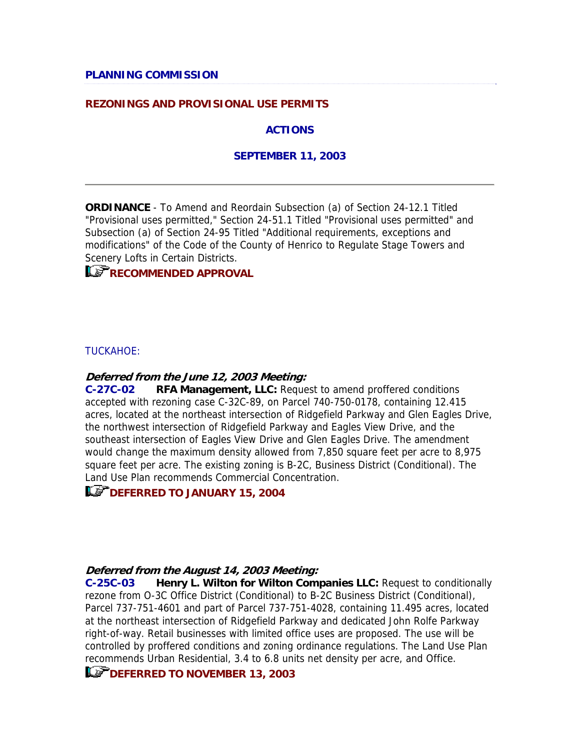### **REZONINGS AND PROVISIONAL USE PERMITS**

#### **ACTIONS**

#### **SEPTEMBER 11, 2003**

**ORDINANCE** - To Amend and Reordain Subsection (a) of Section 24-12.1 Titled "Provisional uses permitted," Section 24-51.1 Titled "Provisional uses permitted" and Subsection (a) of Section 24-95 Titled "Additional requirements, exceptions and modifications" of the Code of the County of Henrico to Regulate Stage Towers and Scenery Lofts in Certain Districts.

# **RECOMMENDED APPROVAL**

#### TUCKAHOE:

#### **Deferred from the June 12, 2003 Meeting:**

**C-27C-02 RFA Management, LLC:** Request to amend proffered conditions accepted with rezoning case C-32C-89, on Parcel 740-750-0178, containing 12.415 acres, located at the northeast intersection of Ridgefield Parkway and Glen Eagles Drive, the northwest intersection of Ridgefield Parkway and Eagles View Drive, and the southeast intersection of Eagles View Drive and Glen Eagles Drive. The amendment would change the maximum density allowed from 7,850 square feet per acre to 8,975 square feet per acre. The existing zoning is B-2C, Business District (Conditional). The Land Use Plan recommends Commercial Concentration.

## **LET DEFERRED TO JANUARY 15, 2004**

#### **Deferred from the August 14, 2003 Meeting:**

**C-25C-03 Henry L. Wilton for Wilton Companies LLC:** Request to conditionally rezone from O-3C Office District (Conditional) to B-2C Business District (Conditional), Parcel 737-751-4601 and part of Parcel 737-751-4028, containing 11.495 acres, located at the northeast intersection of Ridgefield Parkway and dedicated John Rolfe Parkway right-of-way. Retail businesses with limited office uses are proposed. The use will be controlled by proffered conditions and zoning ordinance regulations. The Land Use Plan recommends Urban Residential, 3.4 to 6.8 units net density per acre, and Office.

### **LET DEFERRED TO NOVEMBER 13, 2003**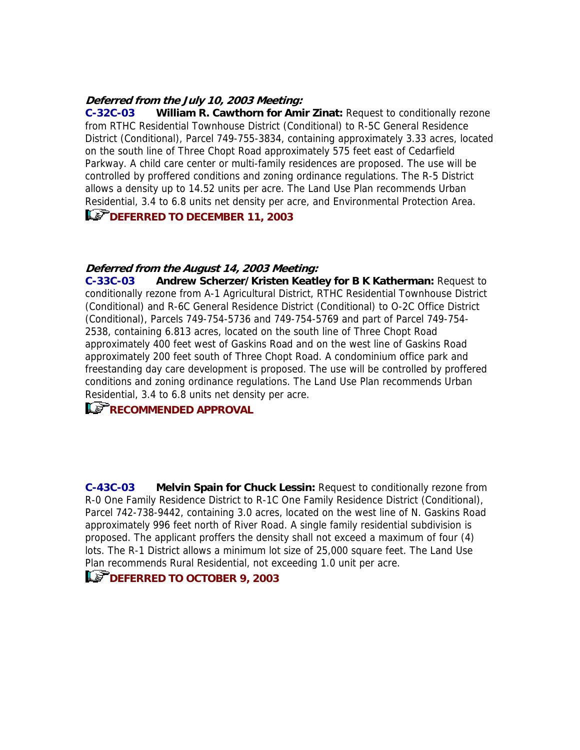#### **Deferred from the July 10, 2003 Meeting:**

**C-32C-03 William R. Cawthorn for Amir Zinat:** Request to conditionally rezone from RTHC Residential Townhouse District (Conditional) to R-5C General Residence District (Conditional), Parcel 749-755-3834, containing approximately 3.33 acres, located on the south line of Three Chopt Road approximately 575 feet east of Cedarfield Parkway. A child care center or multi-family residences are proposed. The use will be controlled by proffered conditions and zoning ordinance regulations. The R-5 District allows a density up to 14.52 units per acre. The Land Use Plan recommends Urban Residential, 3.4 to 6.8 units net density per acre, and Environmental Protection Area.

# **Le<sup>P</sup>DEFERRED TO DECEMBER 11, 2003**

#### **Deferred from the August 14, 2003 Meeting:**

**C-33C-03 Andrew Scherzer/Kristen Keatley for B K Katherman:** Request to conditionally rezone from A-1 Agricultural District, RTHC Residential Townhouse District (Conditional) and R-6C General Residence District (Conditional) to O-2C Office District (Conditional), Parcels 749-754-5736 and 749-754-5769 and part of Parcel 749-754- 2538, containing 6.813 acres, located on the south line of Three Chopt Road approximately 400 feet west of Gaskins Road and on the west line of Gaskins Road approximately 200 feet south of Three Chopt Road. A condominium office park and freestanding day care development is proposed. The use will be controlled by proffered conditions and zoning ordinance regulations. The Land Use Plan recommends Urban Residential, 3.4 to 6.8 units net density per acre.

## **RECOMMENDED APPROVAL**

**C-43C-03 Melvin Spain for Chuck Lessin:** Request to conditionally rezone from R-0 One Family Residence District to R-1C One Family Residence District (Conditional), Parcel 742-738-9442, containing 3.0 acres, located on the west line of N. Gaskins Road approximately 996 feet north of River Road. A single family residential subdivision is proposed. The applicant proffers the density shall not exceed a maximum of four (4) lots. The R-1 District allows a minimum lot size of 25,000 square feet. The Land Use Plan recommends Rural Residential, not exceeding 1.0 unit per acre.

## **DEFERRED TO OCTOBER 9, 2003**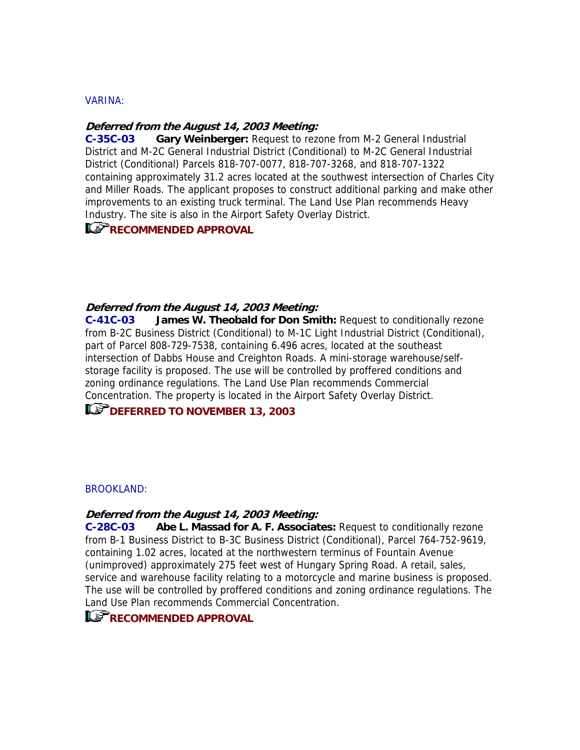#### VARINA:

#### **Deferred from the August 14, 2003 Meeting:**

**C-35C-03 Gary Weinberger:** Request to rezone from M-2 General Industrial District and M-2C General Industrial District (Conditional) to M-2C General Industrial District (Conditional) Parcels 818-707-0077, 818-707-3268, and 818-707-1322 containing approximately 31.2 acres located at the southwest intersection of Charles City and Miller Roads. The applicant proposes to construct additional parking and make other improvements to an existing truck terminal. The Land Use Plan recommends Heavy Industry. The site is also in the Airport Safety Overlay District.

### **RECOMMENDED APPROVAL**

#### **Deferred from the August 14, 2003 Meeting:**

**C-41C-03 James W. Theobald for Don Smith:** Request to conditionally rezone from B-2C Business District (Conditional) to M-1C Light Industrial District (Conditional), part of Parcel 808-729-7538, containing 6.496 acres, located at the southeast intersection of Dabbs House and Creighton Roads. A mini-storage warehouse/selfstorage facility is proposed. The use will be controlled by proffered conditions and zoning ordinance regulations. The Land Use Plan recommends Commercial Concentration. The property is located in the Airport Safety Overlay District.

# **DEFERRED TO NOVEMBER 13, 2003**

#### BROOKLAND:

#### **Deferred from the August 14, 2003 Meeting:**

**C-28C-03 Abe L. Massad for A. F. Associates:** Request to conditionally rezone from B-1 Business District to B-3C Business District (Conditional), Parcel 764-752-9619, containing 1.02 acres, located at the northwestern terminus of Fountain Avenue (unimproved) approximately 275 feet west of Hungary Spring Road. A retail, sales, service and warehouse facility relating to a motorcycle and marine business is proposed. The use will be controlled by proffered conditions and zoning ordinance regulations. The Land Use Plan recommends Commercial Concentration.

## **RECOMMENDED APPROVAL**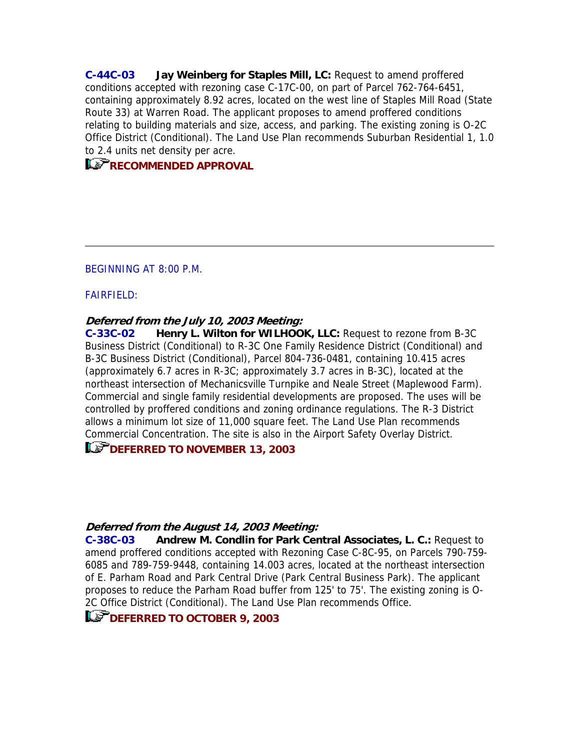**C-44C-03 Jay Weinberg for Staples Mill, LC:** Request to amend proffered conditions accepted with rezoning case C-17C-00, on part of Parcel 762-764-6451, containing approximately 8.92 acres, located on the west line of Staples Mill Road (State Route 33) at Warren Road. The applicant proposes to amend proffered conditions relating to building materials and size, access, and parking. The existing zoning is O-2C Office District (Conditional). The Land Use Plan recommends Suburban Residential 1, 1.0 to 2.4 units net density per acre.

## **RECOMMENDED APPROVAL**

#### BEGINNING AT 8:00 P.M.

#### FAIRFIELD:

#### **Deferred from the July 10, 2003 Meeting:**

**C-33C-02 Henry L. Wilton for WILHOOK, LLC:** Request to rezone from B-3C Business District (Conditional) to R-3C One Family Residence District (Conditional) and B-3C Business District (Conditional), Parcel 804-736-0481, containing 10.415 acres (approximately 6.7 acres in R-3C; approximately 3.7 acres in B-3C), located at the northeast intersection of Mechanicsville Turnpike and Neale Street (Maplewood Farm). Commercial and single family residential developments are proposed. The uses will be controlled by proffered conditions and zoning ordinance regulations. The R-3 District allows a minimum lot size of 11,000 square feet. The Land Use Plan recommends Commercial Concentration. The site is also in the Airport Safety Overlay District.

## **DEFERRED TO NOVEMBER 13, 2003**

#### **Deferred from the August 14, 2003 Meeting:**

**C-38C-03 Andrew M. Condlin for Park Central Associates, L. C.:** Request to amend proffered conditions accepted with Rezoning Case C-8C-95, on Parcels 790-759- 6085 and 789-759-9448, containing 14.003 acres, located at the northeast intersection of E. Parham Road and Park Central Drive (Park Central Business Park). The applicant proposes to reduce the Parham Road buffer from 125' to 75'. The existing zoning is O-2C Office District (Conditional). The Land Use Plan recommends Office.

## **LET DEFERRED TO OCTOBER 9, 2003**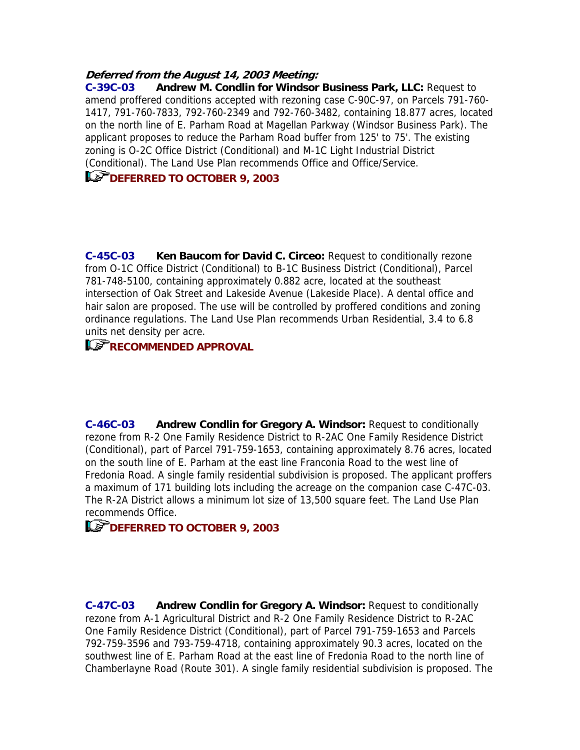### **Deferred from the August 14, 2003 Meeting:**

**C-39C-03 Andrew M. Condlin for Windsor Business Park, LLC:** Request to amend proffered conditions accepted with rezoning case C-90C-97, on Parcels 791-760- 1417, 791-760-7833, 792-760-2349 and 792-760-3482, containing 18.877 acres, located on the north line of E. Parham Road at Magellan Parkway (Windsor Business Park). The applicant proposes to reduce the Parham Road buffer from 125' to 75'. The existing zoning is O-2C Office District (Conditional) and M-1C Light Industrial District (Conditional). The Land Use Plan recommends Office and Office/Service.

# **LET DEFERRED TO OCTOBER 9, 2003**

**C-45C-03 Ken Baucom for David C. Circeo:** Request to conditionally rezone from O-1C Office District (Conditional) to B-1C Business District (Conditional), Parcel 781-748-5100, containing approximately 0.882 acre, located at the southeast intersection of Oak Street and Lakeside Avenue (Lakeside Place). A dental office and hair salon are proposed. The use will be controlled by proffered conditions and zoning ordinance regulations. The Land Use Plan recommends Urban Residential, 3.4 to 6.8 units net density per acre.

# **RECOMMENDED APPROVAL**

**C-46C-03 Andrew Condlin for Gregory A. Windsor:** Request to conditionally rezone from R-2 One Family Residence District to R-2AC One Family Residence District (Conditional), part of Parcel 791-759-1653, containing approximately 8.76 acres, located on the south line of E. Parham at the east line Franconia Road to the west line of Fredonia Road. A single family residential subdivision is proposed. The applicant proffers a maximum of 171 building lots including the acreage on the companion case C-47C-03. The R-2A District allows a minimum lot size of 13,500 square feet. The Land Use Plan recommends Office.

# **LET DEFERRED TO OCTOBER 9, 2003**

**C-47C-03 Andrew Condlin for Gregory A. Windsor:** Request to conditionally rezone from A-1 Agricultural District and R-2 One Family Residence District to R-2AC One Family Residence District (Conditional), part of Parcel 791-759-1653 and Parcels 792-759-3596 and 793-759-4718, containing approximately 90.3 acres, located on the southwest line of E. Parham Road at the east line of Fredonia Road to the north line of Chamberlayne Road (Route 301). A single family residential subdivision is proposed. The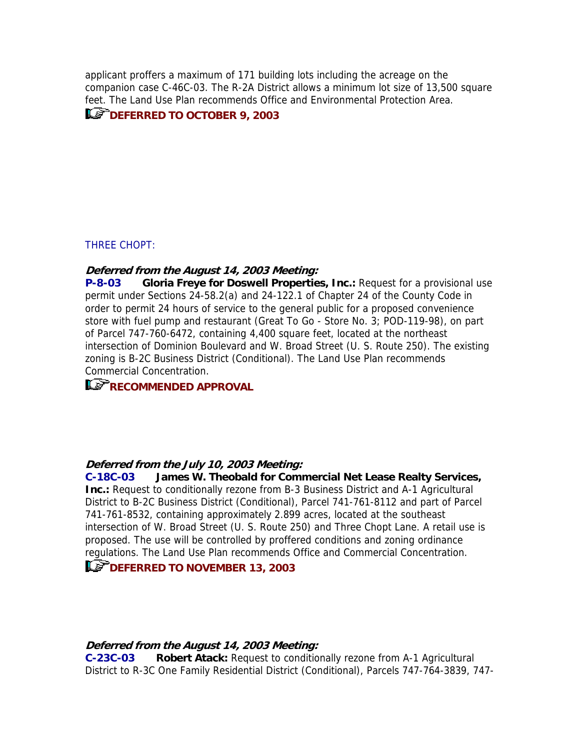applicant proffers a maximum of 171 building lots including the acreage on the companion case C-46C-03. The R-2A District allows a minimum lot size of 13,500 square feet. The Land Use Plan recommends Office and Environmental Protection Area.

## **DEFERRED TO OCTOBER 9, 2003**

#### THREE CHOPT:

#### **Deferred from the August 14, 2003 Meeting:**

**P-8-03 Gloria Freye for Doswell Properties, Inc.:** Request for a provisional use permit under Sections 24-58.2(a) and 24-122.1 of Chapter 24 of the County Code in order to permit 24 hours of service to the general public for a proposed convenience store with fuel pump and restaurant (Great To Go - Store No. 3; POD-119-98), on part of Parcel 747-760-6472, containing 4,400 square feet, located at the northeast intersection of Dominion Boulevard and W. Broad Street (U. S. Route 250). The existing zoning is B-2C Business District (Conditional). The Land Use Plan recommends Commercial Concentration.

# **RECOMMENDED APPROVAL**

#### **Deferred from the July 10, 2003 Meeting:**

**C-18C-03 James W. Theobald for Commercial Net Lease Realty Services, Inc.:** Request to conditionally rezone from B-3 Business District and A-1 Agricultural District to B-2C Business District (Conditional), Parcel 741-761-8112 and part of Parcel 741-761-8532, containing approximately 2.899 acres, located at the southeast intersection of W. Broad Street (U. S. Route 250) and Three Chopt Lane. A retail use is proposed. The use will be controlled by proffered conditions and zoning ordinance regulations. The Land Use Plan recommends Office and Commercial Concentration.

### **LET DEFERRED TO NOVEMBER 13, 2003**

#### **Deferred from the August 14, 2003 Meeting:**

**C-23C-03 Robert Atack:** Request to conditionally rezone from A-1 Agricultural District to R-3C One Family Residential District (Conditional), Parcels 747-764-3839, 747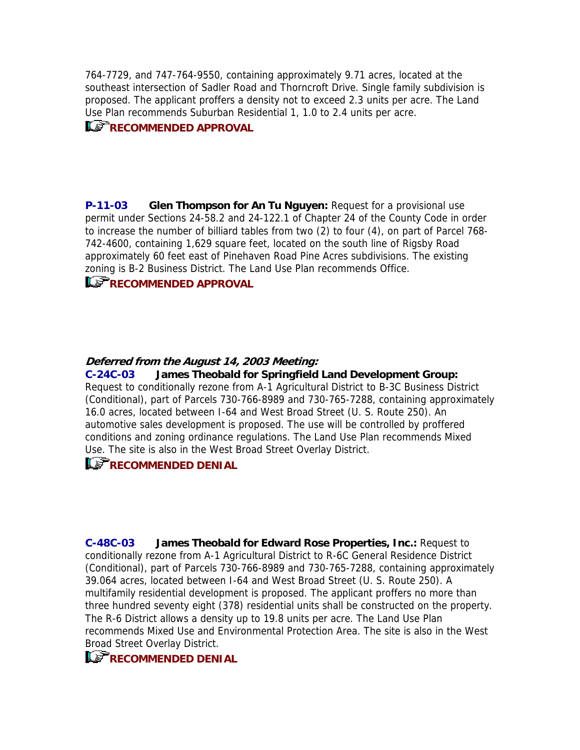764-7729, and 747-764-9550, containing approximately 9.71 acres, located at the southeast intersection of Sadler Road and Thorncroft Drive. Single family subdivision is proposed. The applicant proffers a density not to exceed 2.3 units per acre. The Land Use Plan recommends Suburban Residential 1, 1.0 to 2.4 units per acre.

## **RECOMMENDED APPROVAL**

**P-11-03 Glen Thompson for An Tu Nguyen:** Request for a provisional use permit under Sections 24-58.2 and 24-122.1 of Chapter 24 of the County Code in order to increase the number of billiard tables from two (2) to four (4), on part of Parcel 768- 742-4600, containing 1,629 square feet, located on the south line of Rigsby Road approximately 60 feet east of Pinehaven Road Pine Acres subdivisions. The existing zoning is B-2 Business District. The Land Use Plan recommends Office.

## **RECOMMENDED APPROVAL**

### **Deferred from the August 14, 2003 Meeting:**

**C-24C-03 James Theobald for Springfield Land Development Group:** Request to conditionally rezone from A-1 Agricultural District to B-3C Business District (Conditional), part of Parcels 730-766-8989 and 730-765-7288, containing approximately 16.0 acres, located between I-64 and West Broad Street (U. S. Route 250). An automotive sales development is proposed. The use will be controlled by proffered conditions and zoning ordinance regulations. The Land Use Plan recommends Mixed Use. The site is also in the West Broad Street Overlay District.

### **RECOMMENDED DENIAL**

**C-48C-03 James Theobald for Edward Rose Properties, Inc.:** Request to conditionally rezone from A-1 Agricultural District to R-6C General Residence District (Conditional), part of Parcels 730-766-8989 and 730-765-7288, containing approximately 39.064 acres, located between I-64 and West Broad Street (U. S. Route 250). A multifamily residential development is proposed. The applicant proffers no more than three hundred seventy eight (378) residential units shall be constructed on the property. The R-6 District allows a density up to 19.8 units per acre. The Land Use Plan recommends Mixed Use and Environmental Protection Area. The site is also in the West Broad Street Overlay District.

# **RECOMMENDED DENIAL**